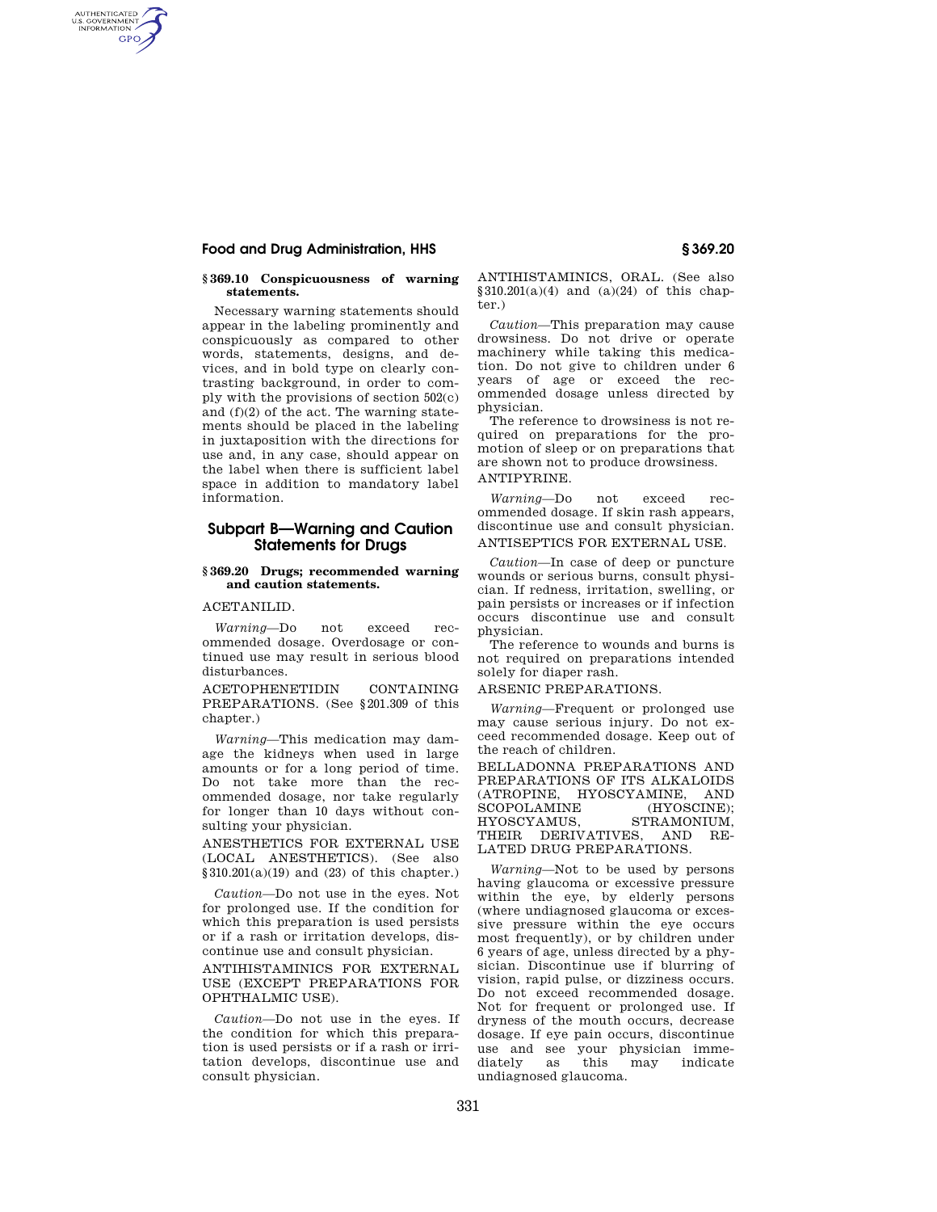### **Food and Drug Administration, HHS § 369.20**

AUTHENTICATED<br>U.S. GOVERNMENT<br>INFORMATION **GPO** 

#### **§ 369.10 Conspicuousness of warning statements.**

Necessary warning statements should appear in the labeling prominently and conspicuously as compared to other words, statements, designs, and devices, and in bold type on clearly contrasting background, in order to comply with the provisions of section 502(c) and (f)(2) of the act. The warning statements should be placed in the labeling in juxtaposition with the directions for use and, in any case, should appear on the label when there is sufficient label space in addition to mandatory label information.

# **Subpart B—Warning and Caution Statements for Drugs**

#### **§ 369.20 Drugs; recommended warning and caution statements.**

ACETANILID.

*Warning*—Do not exceed recommended dosage. Overdosage or continued use may result in serious blood disturbances.

ACETOPHENETIDIN CONTAINING PREPARATIONS. (See §201.309 of this chapter.)

*Warning*—This medication may damage the kidneys when used in large amounts or for a long period of time. Do not take more than the recommended dosage, nor take regularly for longer than 10 days without consulting your physician.

ANESTHETICS FOR EXTERNAL USE (LOCAL ANESTHETICS). (See also  $§310.201(a)(19)$  and (23) of this chapter.)

*Caution*—Do not use in the eyes. Not for prolonged use. If the condition for which this preparation is used persists or if a rash or irritation develops, discontinue use and consult physician.

ANTIHISTAMINICS FOR EXTERNAL USE (EXCEPT PREPARATIONS FOR OPHTHALMIC USE).

*Caution*—Do not use in the eyes. If the condition for which this preparation is used persists or if a rash or irritation develops, discontinue use and consult physician.

ANTIHISTAMINICS, ORAL. (See also  $§310.201(a)(4)$  and  $(a)(24)$  of this chapter.)

*Caution*—This preparation may cause drowsiness. Do not drive or operate machinery while taking this medication. Do not give to children under 6 years of age or exceed the recommended dosage unless directed by physician.

The reference to drowsiness is not required on preparations for the promotion of sleep or on preparations that are shown not to produce drowsiness. ANTIPYRINE.

*Warning*—Do not exceed recommended dosage. If skin rash appears, discontinue use and consult physician. ANTISEPTICS FOR EXTERNAL USE.

*Caution*—In case of deep or puncture wounds or serious burns, consult physician. If redness, irritation, swelling, or pain persists or increases or if infection occurs discontinue use and consult physician.

The reference to wounds and burns is not required on preparations intended solely for diaper rash.

#### ARSENIC PREPARATIONS.

*Warning*—Frequent or prolonged use may cause serious injury. Do not exceed recommended dosage. Keep out of the reach of children.

BELLADONNA PREPARATIONS AND PREPARATIONS OF ITS ALKALOIDS (ATROPINE, HYOSCYAMINE, AND SCOPOLAMINE (HYOSCINE); HYOSCYAMUS, STRAMONIUM, THEIR DERIVATIVES, AND RE-LATED DRUG PREPARATIONS.

*Warning*—Not to be used by persons having glaucoma or excessive pressure within the eye, by elderly persons (where undiagnosed glaucoma or excessive pressure within the eye occurs most frequently), or by children under 6 years of age, unless directed by a physician. Discontinue use if blurring of vision, rapid pulse, or dizziness occurs. Do not exceed recommended dosage. Not for frequent or prolonged use. If dryness of the mouth occurs, decrease dosage. If eye pain occurs, discontinue use and see your physician immediately as this may indicate undiagnosed glaucoma.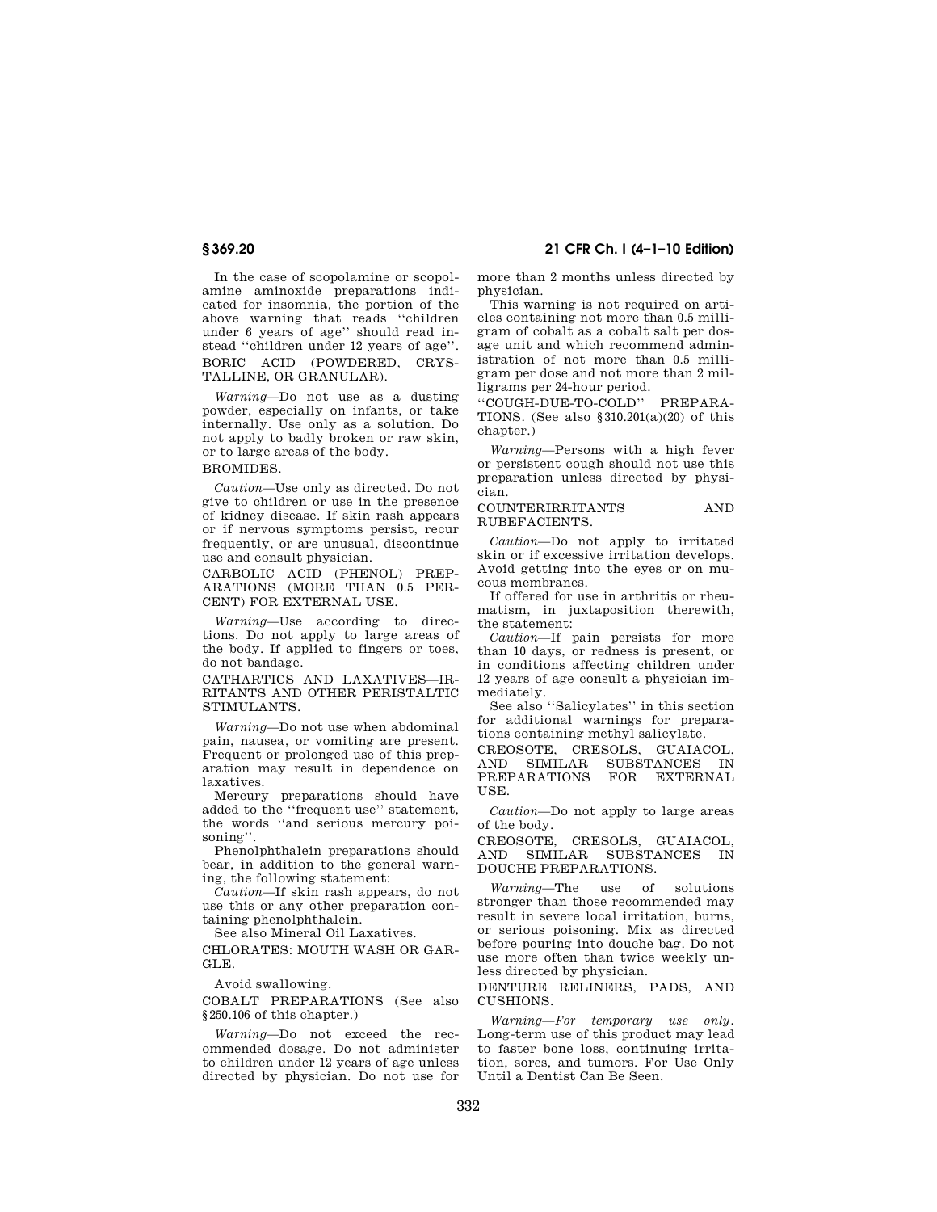**§ 369.20 21 CFR Ch. I (4–1–10 Edition)** 

In the case of scopolamine or scopolamine aminoxide preparations indicated for insomnia, the portion of the above warning that reads ''children under 6 years of age'' should read instead ''children under 12 years of age''. BORIC ACID (POWDERED, CRYS-TALLINE, OR GRANULAR).

*Warning*—Do not use as a dusting powder, especially on infants, or take internally. Use only as a solution. Do not apply to badly broken or raw skin, or to large areas of the body.

# BROMIDES.

*Caution*—Use only as directed. Do not give to children or use in the presence of kidney disease. If skin rash appears or if nervous symptoms persist, recur frequently, or are unusual, discontinue use and consult physician.

CARBOLIC ACID (PHENOL) PREP-ARATIONS (MORE THAN 0.5 PER-CENT) FOR EXTERNAL USE.

*Warning*—Use according to directions. Do not apply to large areas of the body. If applied to fingers or toes, do not bandage.

CATHARTICS AND LAXATIVES—IR-RITANTS AND OTHER PERISTALTIC STIMULANTS.

*Warning*—Do not use when abdominal pain, nausea, or vomiting are present. Frequent or prolonged use of this preparation may result in dependence on laxatives.

Mercury preparations should have added to the ''frequent use'' statement, the words ''and serious mercury poisoning''.

Phenolphthalein preparations should bear, in addition to the general warning, the following statement:

*Caution*—If skin rash appears, do not use this or any other preparation containing phenolphthalein.

See also Mineral Oil Laxatives.

CHLORATES: MOUTH WASH OR GAR-GLE.

Avoid swallowing.

COBALT PREPARATIONS (See also §250.106 of this chapter.)

*Warning*—Do not exceed the recommended dosage. Do not administer to children under 12 years of age unless directed by physician. Do not use for more than 2 months unless directed by physician.

This warning is not required on articles containing not more than 0.5 milligram of cobalt as a cobalt salt per dosage unit and which recommend administration of not more than 0.5 milligram per dose and not more than 2 milligrams per 24-hour period.

''COUGH-DUE-TO-COLD'' PREPARA-TIONS. (See also §310.201(a)(20) of this chapter.)

*Warning*—Persons with a high fever or persistent cough should not use this preparation unless directed by physician.

COUNTERIRRITANTS AND RUBEFACIENTS.

*Caution*—Do not apply to irritated skin or if excessive irritation develops. Avoid getting into the eyes or on mucous membranes.

If offered for use in arthritis or rheumatism, in juxtaposition therewith, the statement:

*Caution*—If pain persists for more than 10 days, or redness is present, or in conditions affecting children under 12 years of age consult a physician immediately.

See also ''Salicylates'' in this section for additional warnings for preparations containing methyl salicylate.

CREOSOTE, CRESOLS, GUAIACOL, AND SIMILAR SUBSTANCES IN PREPARATIONS FOR EXTERNAL USE.

*Caution*—Do not apply to large areas of the body.

CREOSOTE, CRESOLS, GUAIACOL, AND SIMILAR SUBSTANCES IN DOUCHE PREPARATIONS.

*Warning*—The use of solutions stronger than those recommended may result in severe local irritation, burns, or serious poisoning. Mix as directed before pouring into douche bag. Do not use more often than twice weekly unless directed by physician.

DENTURE RELINERS, PADS, AND CUSHIONS.

*Warning—For temporary use only.*  Long-term use of this product may lead to faster bone loss, continuing irritation, sores, and tumors. For Use Only Until a Dentist Can Be Seen.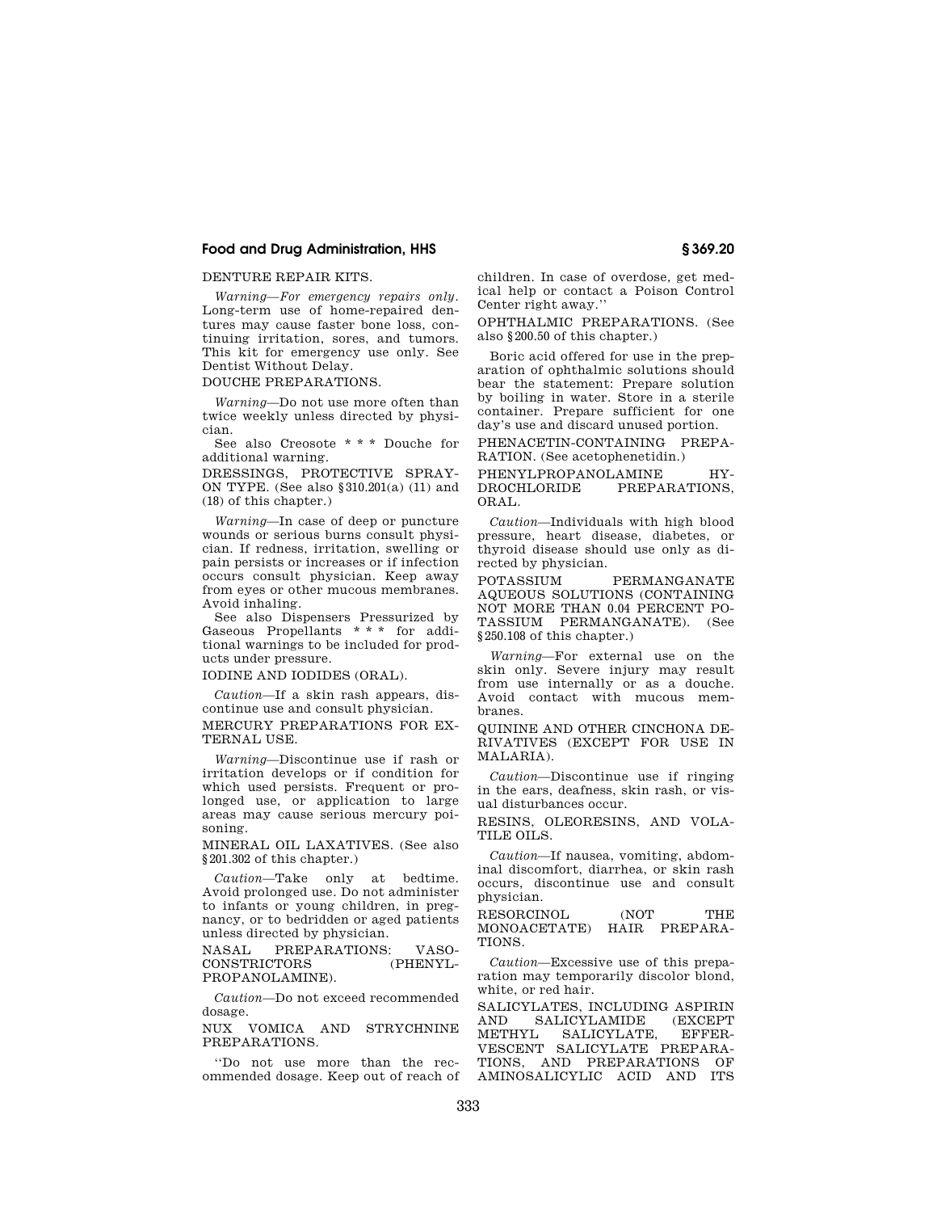### **Food and Drug Administration, HHS § 369.20**

### DENTURE REPAIR KITS.

*Warning—For emergency repairs only.*  Long-term use of home-repaired dentures may cause faster bone loss, continuing irritation, sores, and tumors. This kit for emergency use only. See Dentist Without Delay.

DOUCHE PREPARATIONS.

*Warning*—Do not use more often than twice weekly unless directed by physician.

See also Creosote \* \* \* Douche for additional warning.

DRESSINGS, PROTECTIVE SPRAY-ON TYPE. (See also §310.201(a) (11) and (18) of this chapter.)

*Warning*—In case of deep or puncture wounds or serious burns consult physician. If redness, irritation, swelling or pain persists or increases or if infection occurs consult physician. Keep away from eyes or other mucous membranes. Avoid inhaling.

See also Dispensers Pressurized by Gaseous Propellants \* \* \* for additional warnings to be included for products under pressure.

IODINE AND IODIDES (ORAL).

*Caution*—If a skin rash appears, discontinue use and consult physician. MERCURY PREPARATIONS FOR EX-

TERNAL USE.

*Warning*—Discontinue use if rash or irritation develops or if condition for which used persists. Frequent or prolonged use, or application to large areas may cause serious mercury poisoning.

MINERAL OIL LAXATIVES. (See also §201.302 of this chapter.)

*Caution*—Take only at bedtime. Avoid prolonged use. Do not administer to infants or young children, in pregnancy, or to bedridden or aged patients unless directed by physician.

NASAL PREPARATIONS: VASO-CONSTRICTORS (PHENYL-PROPANOLAMINE).

*Caution*—Do not exceed recommended dosage.

NUX VOMICA AND STRYCHNINE PREPARATIONS.

''Do not use more than the recommended dosage. Keep out of reach of children. In case of overdose, get medical help or contact a Poison Control Center right away.''

OPHTHALMIC PREPARATIONS. (See also §200.50 of this chapter.)

Boric acid offered for use in the preparation of ophthalmic solutions should bear the statement: Prepare solution by boiling in water. Store in a sterile container. Prepare sufficient for one day's use and discard unused portion.

PHENACETIN-CONTAINING PREPA-RATION. (See acetophenetidin.)

PHENYLPROPANOLAMINE HY-DROCHLORIDE PREPARATIONS, ORAL.

*Caution*—Individuals with high blood pressure, heart disease, diabetes, or thyroid disease should use only as directed by physician.

POTASSIUM PERMANGANATE AQUEOUS SOLUTIONS (CONTAINING NOT MORE THAN 0.04 PERCENT PO-TASSIUM PERMANGANATE). (See §250.108 of this chapter.)

*Warning*—For external use on the skin only. Severe injury may result from use internally or as a douche. Avoid contact with mucous membranes.

QUININE AND OTHER CINCHONA DE-RIVATIVES (EXCEPT FOR USE IN MALARIA).

*Caution*—Discontinue use if ringing in the ears, deafness, skin rash, or visual disturbances occur.

RESINS, OLEORESINS, AND VOLA-TILE OILS.

*Caution*—If nausea, vomiting, abdominal discomfort, diarrhea, or skin rash occurs, discontinue use and consult physician.

RESORCINOL (NOT THE MONOACETATE) HAIR PREPARA-TIONS.

*Caution*—Excessive use of this preparation may temporarily discolor blond, white, or red hair.

SALICYLATES, INCLUDING ASPIRIN AND SALICYLAMIDE (EXCEPT METHYL SALICYLATE EFFER-SALICYLATE, VESCENT SALICYLATE PREPARA-TIONS, AND PREPARATIONS OF AMINOSALICYLIC ACID AND ITS